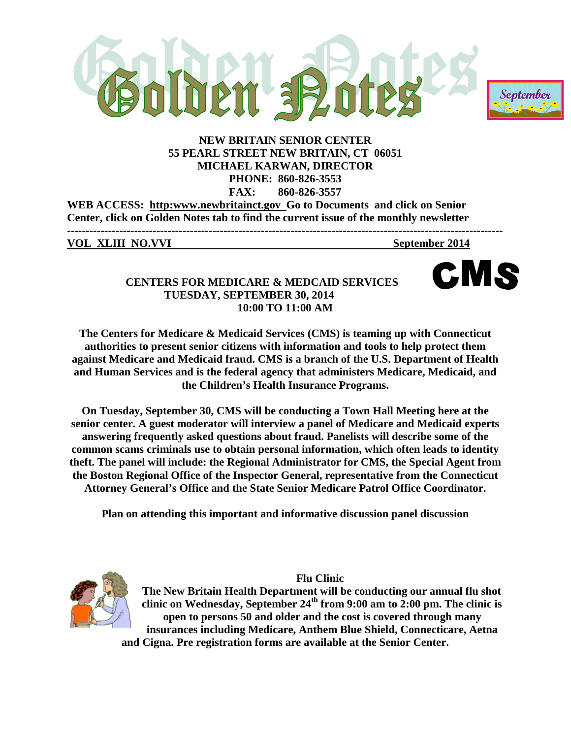



# **NEW BRITAIN SENIOR CENTER 55 PEARL STREET NEW BRITAIN, CT 06051 MICHAEL KARWAN, DIRECTOR PHONE: 860-826-3553 FAX: 860-826-3557**

**WEB ACCESS: http:www.newbritainct.gov Go to Documents and click on Senior Center, click on Golden Notes tab to find the current issue of the monthly newsletter**

**VOL XLIII NO.VVI** September 2014

MS

# **CENTERS FOR MEDICARE & MEDCAID SERVICES TUESDAY, SEPTEMBER 30, 2014 10:00 TO 11:00 AM**

**The Centers for Medicare & Medicaid Services (CMS) is teaming up with Connecticut authorities to present senior citizens with information and tools to help protect them against Medicare and Medicaid fraud. CMS is a branch of the U.S. Department of Health and Human Services and is the federal agency that administers Medicare, Medicaid, and the Children's Health Insurance Programs.** 

**On Tuesday, September 30, CMS will be conducting a Town Hall Meeting here at the senior center. A guest moderator will interview a panel of Medicare and Medicaid experts answering frequently asked questions about fraud. Panelists will describe some of the common scams criminals use to obtain personal information, which often leads to identity theft. The panel will include: the Regional Administrator for CMS, the Special Agent from the Boston Regional Office of the Inspector General, representative from the Connecticut Attorney General's Office and the State Senior Medicare Patrol Office Coordinator.**

**Plan on attending this important and informative discussion panel discussion**



**Flu Clinic The New Britain Health Department will be conducting our annual flu shot**  clinic on Wednesday, September  $24<sup>th</sup>$  from 9:00 am to 2:00 pm. The clinic is **open to persons 50 and older and the cost is covered through many insurances including Medicare, Anthem Blue Shield, Connecticare, Aetna and Cigna. Pre registration forms are available at the Senior Center.**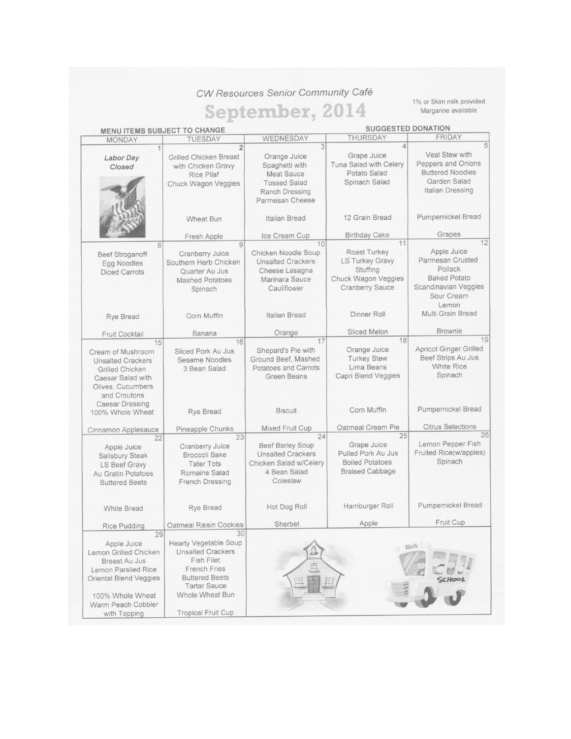CW Resources Senior Community Café

# September, 2014

1% or Skim milk provided Margarine available

| <b>MENU ITEMS SUBJECT TO CHANGE</b>                                                                                                                                                                                                                            |                                                                                                                                                                                               |                                                                                                                                                                                                                                           | <b>SUGGESTED DONATION</b>                                                                                                                                                                                        |                                                                                                                                                                                                             |  |
|----------------------------------------------------------------------------------------------------------------------------------------------------------------------------------------------------------------------------------------------------------------|-----------------------------------------------------------------------------------------------------------------------------------------------------------------------------------------------|-------------------------------------------------------------------------------------------------------------------------------------------------------------------------------------------------------------------------------------------|------------------------------------------------------------------------------------------------------------------------------------------------------------------------------------------------------------------|-------------------------------------------------------------------------------------------------------------------------------------------------------------------------------------------------------------|--|
| <b>MONDAY</b>                                                                                                                                                                                                                                                  | <b>TUESDAY</b>                                                                                                                                                                                | WEDNESDAY                                                                                                                                                                                                                                 | <b>THURSDAY</b>                                                                                                                                                                                                  | FRIDAY                                                                                                                                                                                                      |  |
| Labor Day<br>Closed                                                                                                                                                                                                                                            | $\overline{2}$<br><b>Grilled Chicken Breast</b><br>with Chicken Gravy<br><b>Rice Pilaf</b><br>Chuck Wagon Veggies                                                                             | 3<br>Orange Juice<br>Spaghetti with<br><b>Meat Sauce</b><br><b>Tossed Salad</b><br><b>Ranch Dressing</b><br>Parmesan Cheese                                                                                                               | $\Delta$<br>Grape Juice<br>Tuna Salad with Celery<br>Potato Salad<br>Spinach Salad                                                                                                                               | 5<br>Veal Stew with<br>Peppers and Onions<br><b>Buttered Noodles</b><br>Garden Salad<br>Italian Dressing                                                                                                    |  |
|                                                                                                                                                                                                                                                                | Wheat Bun                                                                                                                                                                                     | Italian Bread                                                                                                                                                                                                                             | 12 Grain Bread                                                                                                                                                                                                   | Pumpernickel Bread                                                                                                                                                                                          |  |
|                                                                                                                                                                                                                                                                | Fresh Apple                                                                                                                                                                                   | Ice Cream Cup                                                                                                                                                                                                                             | <b>Birthday Cake</b>                                                                                                                                                                                             | Grapes<br>12                                                                                                                                                                                                |  |
| 8<br><b>Beef Stroganoff</b><br>Egg Noodles<br><b>Diced Carrots</b>                                                                                                                                                                                             | 9<br>Cranberry Juice<br>Southern Herb Chicken<br>Quarter Au Jus<br><b>Mashed Potatoes</b><br>Spinach                                                                                          | 10<br>Chicken Noodle Soup<br><b>Unsalted Crackers</b><br>Cheese Lasagna<br>Marinara Sauce<br>Cauliflower                                                                                                                                  | 11<br>Roast Turkey<br><b>LS Turkey Gravy</b><br>Stuffing<br>Chuck Wagon Veggies<br><b>Cranberry Sauce</b>                                                                                                        | Apple Juice<br>Parmesan Crusted<br>Pollack<br><b>Baked Potato</b><br>Scandinavian Veggies<br>Sour Cream<br>Lemon                                                                                            |  |
| Rye Bread                                                                                                                                                                                                                                                      | Corn Muffin                                                                                                                                                                                   | Italian Bread                                                                                                                                                                                                                             | Dinner Roll                                                                                                                                                                                                      | Multi Grain Bread                                                                                                                                                                                           |  |
| Fruit Cocktail                                                                                                                                                                                                                                                 | Banana                                                                                                                                                                                        | Orange                                                                                                                                                                                                                                    | Sliced Melon                                                                                                                                                                                                     | <b>Brownie</b>                                                                                                                                                                                              |  |
| 15<br>Cream of Mushroom<br><b>Unsalted Crackers</b><br>Grilled Chicken<br>Caesar Salad with<br>Olives, Cucumbers<br>and Croutons<br><b>Caesar Dressing</b><br>100% Whole Wheat<br>Cinnamon Applesauce<br>22<br>Apple Juice<br>Salisbury Steak<br>LS Beef Gravy | 16<br>Sliced Pork Au Jus<br>Sesame Noodles<br>3 Bean Salad<br><b>Rye Bread</b><br>Pineapple Chunks<br>23<br>Cranberry Juice<br><b>Broccoli Bake</b><br><b>Tater Tots</b><br>Romaine Salad     | 17<br>Shepard's Pie with<br>Ground Beef. Mashed<br><b>Potatoes and Carrots</b><br>Green Beans<br><b>Biscuit</b><br>Mixed Fruit Cup<br>24<br><b>Beef Barley Soup</b><br><b>Unsalted Crackers</b><br>Chicken Salad w/Celery<br>4 Bean Salad | 18<br>Orange Juice<br><b>Turkey Stew</b><br>Lima Beans<br>Capri Blend Veggies<br>Corn Muffin<br>Oatmeal Cream Pie<br>25<br>Grape Juice<br>Pulled Pork Au Jus<br><b>Boiled Potatoes</b><br><b>Braised Cabbage</b> | 19<br><b>Apricot Ginger Grilled</b><br>Beef Strips Au Jus<br><b>White Rice</b><br>Spinach<br>Pumpernickel Bread<br><b>Citrus Selections</b><br>26<br>Lemon Pepper Fish<br>Fruited Rice(w/apples)<br>Spinach |  |
| Au Gratin Potatoes<br><b>Buttered Beets</b><br><b>White Bread</b>                                                                                                                                                                                              | French Dressing<br><b>Rye Bread</b><br>Oatmeal Raisin Cookies                                                                                                                                 | Coleslaw<br>Hot Dog Roll<br>Sherbet                                                                                                                                                                                                       | Hamburger Roll<br>Apple                                                                                                                                                                                          | Pumpernickel Bread<br>Fruit Cup                                                                                                                                                                             |  |
| <b>Rice Pudding</b><br>29                                                                                                                                                                                                                                      | 30                                                                                                                                                                                            |                                                                                                                                                                                                                                           |                                                                                                                                                                                                                  |                                                                                                                                                                                                             |  |
| Apple Juice<br>Lemon Grilled Chicken<br><b>Breast Au Jus</b><br>Lemon Parslied Rice<br><b>Oriental Blend Veggies</b><br>100% Whole Wheat<br>Warm Peach Cobbler<br>with Topping                                                                                 | Hearty Vegetable Soup<br><b>Unsalted Crackers</b><br><b>Fish Filet</b><br><b>French Fries</b><br><b>Buttered Beets</b><br><b>Tartar Sauce</b><br>Whole Wheat Bun<br><b>Tropical Fruit Cup</b> | L.<br>自                                                                                                                                                                                                                                   |                                                                                                                                                                                                                  | BUS                                                                                                                                                                                                         |  |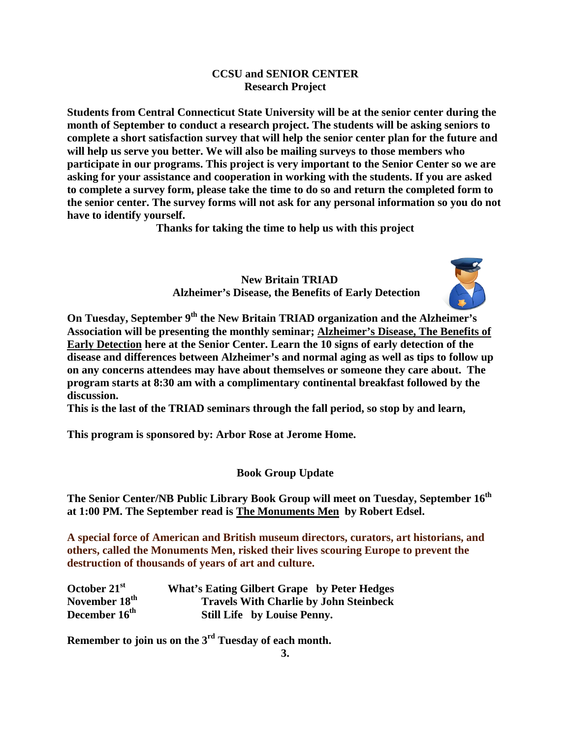# **CCSU and SENIOR CENTER Research Project**

**Students from Central Connecticut State University will be at the senior center during the month of September to conduct a research project. The students will be asking seniors to complete a short satisfaction survey that will help the senior center plan for the future and will help us serve you better. We will also be mailing surveys to those members who participate in our programs. This project is very important to the Senior Center so we are asking for your assistance and cooperation in working with the students. If you are asked to complete a survey form, please take the time to do so and return the completed form to the senior center. The survey forms will not ask for any personal information so you do not have to identify yourself.** 

**Thanks for taking the time to help us with this project**

 **New Britain TRIAD Alzheimer's Disease, the Benefits of Early Detection**



**On Tuesday, September 9th the New Britain TRIAD organization and the Alzheimer's Association will be presenting the monthly seminar; Alzheimer's Disease, The Benefits of Early Detection here at the Senior Center. Learn the 10 signs of early detection of the disease and differences between Alzheimer's and normal aging as well as tips to follow up on any concerns attendees may have about themselves or someone they care about. The program starts at 8:30 am with a complimentary continental breakfast followed by the discussion.** 

**This is the last of the TRIAD seminars through the fall period, so stop by and learn,** 

**This program is sponsored by: Arbor Rose at Jerome Home.** 

**Book Group Update**

The Senior Center/NB Public Library Book Group will meet on Tuesday, September 16<sup>th</sup> **at 1:00 PM. The September read is The Monuments Men by Robert Edsel.** 

**A special force of American and British museum directors, curators, art historians, and others, called the Monuments Men, risked their lives scouring Europe to prevent the destruction of thousands of years of art and culture.**

| October 21 <sup>st</sup>  | <b>What's Eating Gilbert Grape</b> by Peter Hedges |
|---------------------------|----------------------------------------------------|
| November 18 <sup>th</sup> | <b>Travels With Charlie by John Steinbeck</b>      |
| December 16 <sup>th</sup> | <b>Still Life by Louise Penny.</b>                 |

**Remember to join us on the 3rd Tuesday of each month.**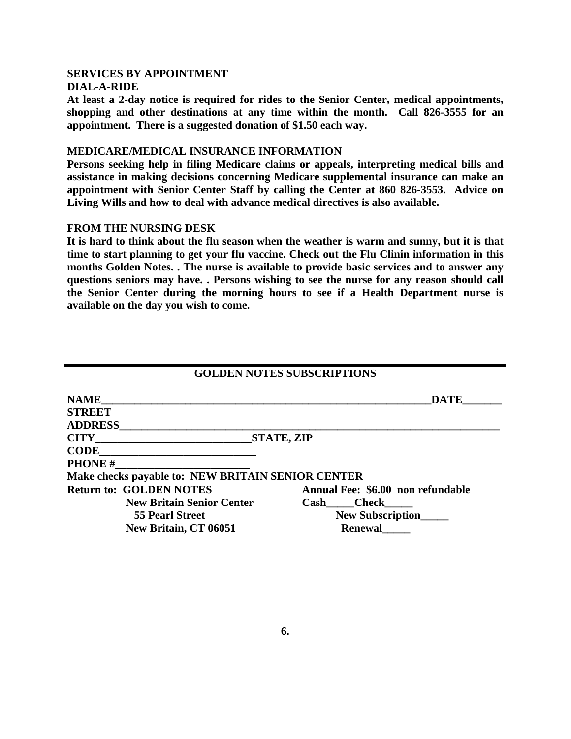#### **SERVICES BY APPOINTMENT DIAL-A-RIDE**

**At least a 2-day notice is required for rides to the Senior Center, medical appointments, shopping and other destinations at any time within the month. Call 826-3555 for an appointment. There is a suggested donation of \$1.50 each way.**

### **MEDICARE/MEDICAL INSURANCE INFORMATION**

**Persons seeking help in filing Medicare claims or appeals, interpreting medical bills and assistance in making decisions concerning Medicare supplemental insurance can make an appointment with Senior Center Staff by calling the Center at 860 826-3553. Advice on Living Wills and how to deal with advance medical directives is also available.**

# **FROM THE NURSING DESK**

**It is hard to think about the flu season when the weather is warm and sunny, but it is that time to start planning to get your flu vaccine. Check out the Flu Clinin information in this months Golden Notes. . The nurse is available to provide basic services and to answer any questions seniors may have. . Persons wishing to see the nurse for any reason should call the Senior Center during the morning hours to see if a Health Department nurse is available on the day you wish to come.**

|                                                   | <b>GOLDEN NOTES SUBSCRIPTIONS</b> |
|---------------------------------------------------|-----------------------------------|
| <b>NAME</b>                                       | <b>DATE</b>                       |
| <b>STREET</b>                                     |                                   |
| <b>ADDRESS</b>                                    |                                   |
| <b>CITY</b>                                       | <b>STATE, ZIP</b>                 |
| <b>CODE</b>                                       |                                   |
| <b>PHONE#</b>                                     |                                   |
| Make checks payable to: NEW BRITAIN SENIOR CENTER |                                   |
| <b>Return to: GOLDEN NOTES</b>                    | Annual Fee: \$6.00 non refundable |
| <b>New Britain Senior Center</b>                  | Cash Check                        |
| 55 Pearl Street                                   | <b>New Subscription</b>           |
| New Britain, CT 06051                             | <b>Renewal</b>                    |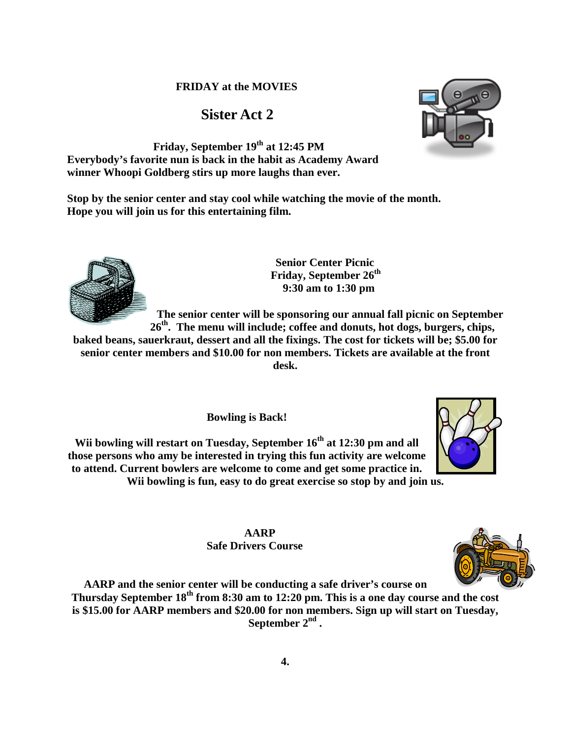# **Sister Act 2**

**Friday, September 19th at 12:45 PM Everybody's favorite nun is back in the habit as Academy Award winner Whoopi Goldberg stirs up more laughs than ever.** 

**Stop by the senior center and stay cool while watching the movie of the month. Hope you will join us for this entertaining film.**

> **Senior Center Picnic** Friday, September 26<sup>th</sup> **9:30 am to 1:30 pm**

**The senior center will be sponsoring our annual fall picnic on September 26th. The menu will include; coffee and donuts, hot dogs, burgers, chips,** 

**baked beans, sauerkraut, dessert and all the fixings. The cost for tickets will be; \$5.00 for senior center members and \$10.00 for non members. Tickets are available at the front desk.** 

**Bowling is Back!**

Wii bowling will restart on Tuesday, September  $16<sup>th</sup>$  at 12:30 pm and all **those persons who amy be interested in trying this fun activity are welcome to attend. Current bowlers are welcome to come and get some practice in. Wii bowling is fun, easy to do great exercise so stop by and join us.**

> **AARP Safe Drivers Course**

**AARP and the senior center will be conducting a safe driver's course on Thursday September 18th from 8:30 am to 12:20 pm. This is a one day course and the cost is \$15.00 for AARP members and \$20.00 for non members. Sign up will start on Tuesday, September 2nd .**







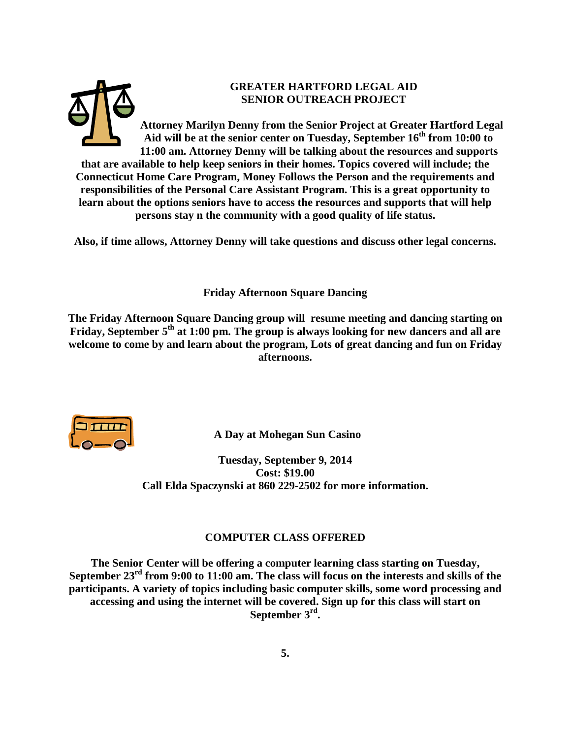

**Also, if time allows, Attorney Denny will take questions and discuss other legal concerns.** 

**Friday Afternoon Square Dancing**

**The Friday Afternoon Square Dancing group will resume meeting and dancing starting on Friday, September 5th at 1:00 pm. The group is always looking for new dancers and all are welcome to come by and learn about the program, Lots of great dancing and fun on Friday afternoons.**



 **A Day at Mohegan Sun Casino**

**Tuesday, September 9, 2014 Cost: \$19.00 Call Elda Spaczynski at 860 229-2502 for more information.**

# **COMPUTER CLASS OFFERED**

**The Senior Center will be offering a computer learning class starting on Tuesday, September 23rd from 9:00 to 11:00 am. The class will focus on the interests and skills of the participants. A variety of topics including basic computer skills, some word processing and accessing and using the internet will be covered. Sign up for this class will start on September 3rd.**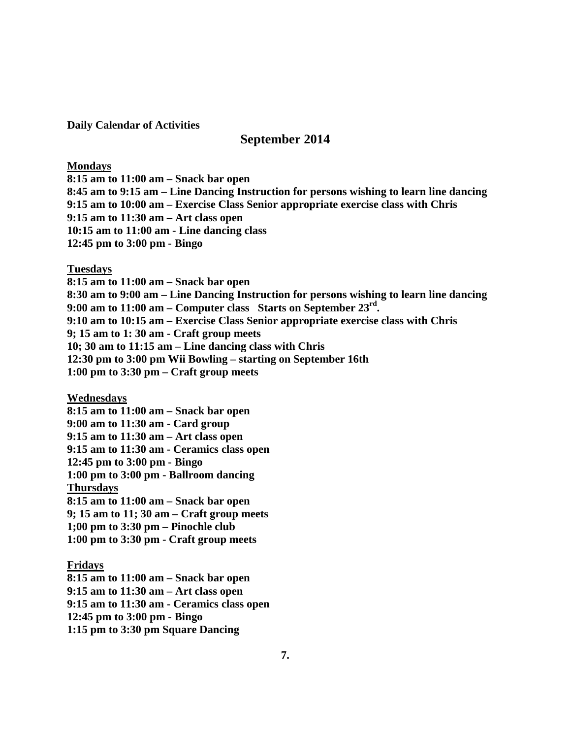**Daily Calendar of Activities**

# **September 2014**

#### **Mondays**

**8:15 am to 11:00 am – Snack bar open 8:45 am to 9:15 am – Line Dancing Instruction for persons wishing to learn line dancing 9:15 am to 10:00 am – Exercise Class Senior appropriate exercise class with Chris 9:15 am to 11:30 am – Art class open 10:15 am to 11:00 am - Line dancing class 12:45 pm to 3:00 pm - Bingo**

### **Tuesdays**

**8:15 am to 11:00 am – Snack bar open 8:30 am to 9:00 am – Line Dancing Instruction for persons wishing to learn line dancing 9:00 am to 11:00 am – Computer class Starts on September 23rd. 9:10 am to 10:15 am – Exercise Class Senior appropriate exercise class with Chris 9; 15 am to 1: 30 am - Craft group meets 10; 30 am to 11:15 am – Line dancing class with Chris 12:30 pm to 3:00 pm Wii Bowling – starting on September 16th 1:00 pm to 3:30 pm – Craft group meets**

#### **Wednesdays**

**8:15 am to 11:00 am – Snack bar open 9:00 am to 11:30 am - Card group 9:15 am to 11:30 am – Art class open 9:15 am to 11:30 am - Ceramics class open 12:45 pm to 3:00 pm - Bingo 1:00 pm to 3:00 pm - Ballroom dancing Thursdays 8:15 am to 11:00 am – Snack bar open 9; 15 am to 11; 30 am – Craft group meets 1;00 pm to 3:30 pm – Pinochle club 1:00 pm to 3:30 pm - Craft group meets**

# **Fridays**

**8:15 am to 11:00 am – Snack bar open 9:15 am to 11:30 am – Art class open 9:15 am to 11:30 am - Ceramics class open 12:45 pm to 3:00 pm - Bingo 1:15 pm to 3:30 pm Square Dancing**